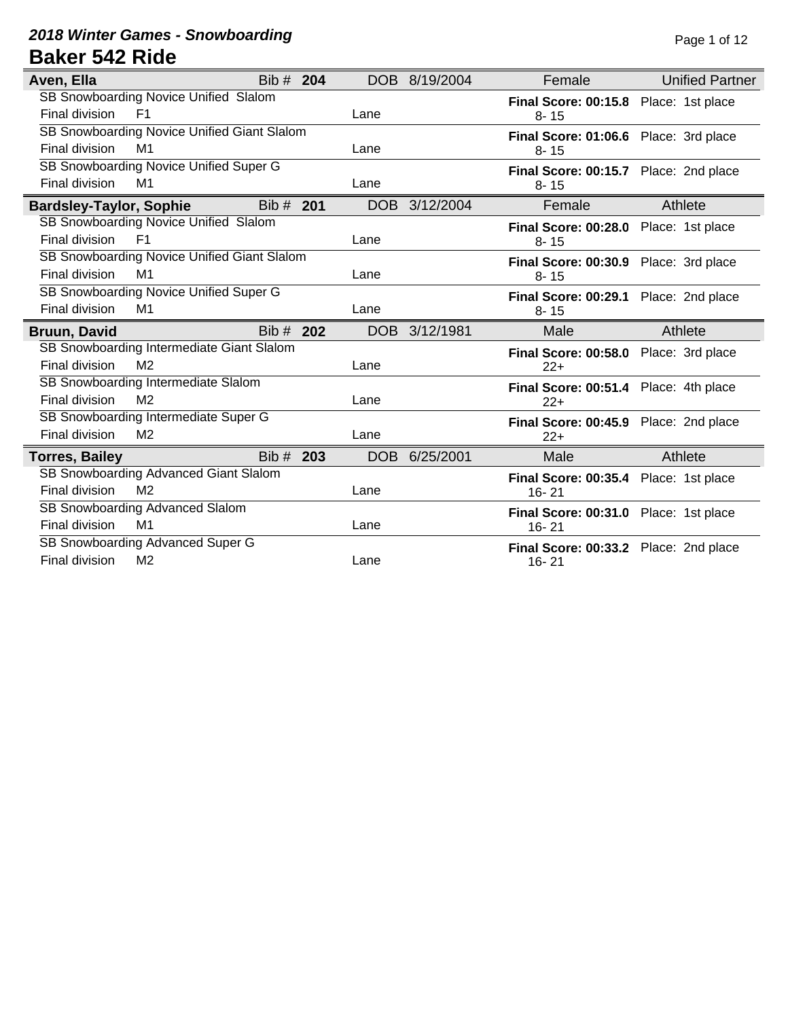#### **2018 Winter Games - Snowboarding Page 1 of 12 Baker 542 Ride**

| Aven, Ella                                  | Bib # 204 |     |            | DOB 8/19/2004 | Female                                             | <b>Unified Partner</b> |
|---------------------------------------------|-----------|-----|------------|---------------|----------------------------------------------------|------------------------|
| SB Snowboarding Novice Unified Slalom       |           |     |            |               | Final Score: 00:15.8 Place: 1st place              |                        |
| Final division<br>F <sub>1</sub>            |           |     | Lane       |               | $8 - 15$                                           |                        |
| SB Snowboarding Novice Unified Giant Slalom |           |     |            |               | Final Score: 01:06.6 Place: 3rd place              |                        |
| Final division<br>M1                        |           |     | Lane       |               | $8 - 15$                                           |                        |
| SB Snowboarding Novice Unified Super G      |           |     |            |               | Final Score: 00:15.7 Place: 2nd place              |                        |
| Final division<br>M1                        |           |     | Lane       |               | $8 - 15$                                           |                        |
| <b>Bardsley-Taylor, Sophie</b>              | Bib # 201 |     |            | DOB 3/12/2004 | Female                                             | Athlete                |
| SB Snowboarding Novice Unified Slalom       |           |     |            |               | Final Score: 00:28.0 Place: 1st place              |                        |
| Final division<br>F <sub>1</sub>            |           |     | Lane       |               | $8 - 15$                                           |                        |
| SB Snowboarding Novice Unified Giant Slalom |           |     |            |               | Final Score: 00:30.9 Place: 3rd place              |                        |
| Final division<br>M1                        |           |     | Lane       |               | $8 - 15$                                           |                        |
| SB Snowboarding Novice Unified Super G      |           |     |            |               | Final Score: 00:29.1 Place: 2nd place              |                        |
| Final division<br>M1                        |           |     | Lane       |               | $8 - 15$                                           |                        |
|                                             |           |     |            |               |                                                    |                        |
| <b>Bruun, David</b>                         | Bib # 202 |     |            | DOB 3/12/1981 | Male                                               | Athlete                |
| SB Snowboarding Intermediate Giant Slalom   |           |     |            |               | Final Score: 00:58.0 Place: 3rd place              |                        |
| Final division<br>M <sub>2</sub>            |           |     | Lane       |               | $22+$                                              |                        |
| SB Snowboarding Intermediate Slalom         |           |     |            |               | Final Score: 00:51.4 Place: 4th place              |                        |
| Final division<br>M <sub>2</sub>            |           |     | Lane       |               | $22+$                                              |                        |
| SB Snowboarding Intermediate Super G        |           |     |            |               |                                                    |                        |
| Final division<br>M <sub>2</sub>            |           |     | Lane       |               | Final Score: 00:45.9 Place: 2nd place<br>$22+$     |                        |
| <b>Torres, Bailey</b>                       | Bib#      | 203 | <b>DOB</b> | 6/25/2001     | Male                                               | Athlete                |
| SB Snowboarding Advanced Giant Slalom       |           |     |            |               |                                                    |                        |
| Final division<br>M <sub>2</sub>            |           |     | Lane       |               | Final Score: 00:35.4 Place: 1st place<br>$16 - 21$ |                        |
| SB Snowboarding Advanced Slalom             |           |     |            |               |                                                    |                        |
| Final division<br>M1                        |           |     | Lane       |               | Final Score: 00:31.0 Place: 1st place<br>$16 - 21$ |                        |
| SB Snowboarding Advanced Super G            |           |     |            |               | Final Score: 00:33.2 Place: 2nd place              |                        |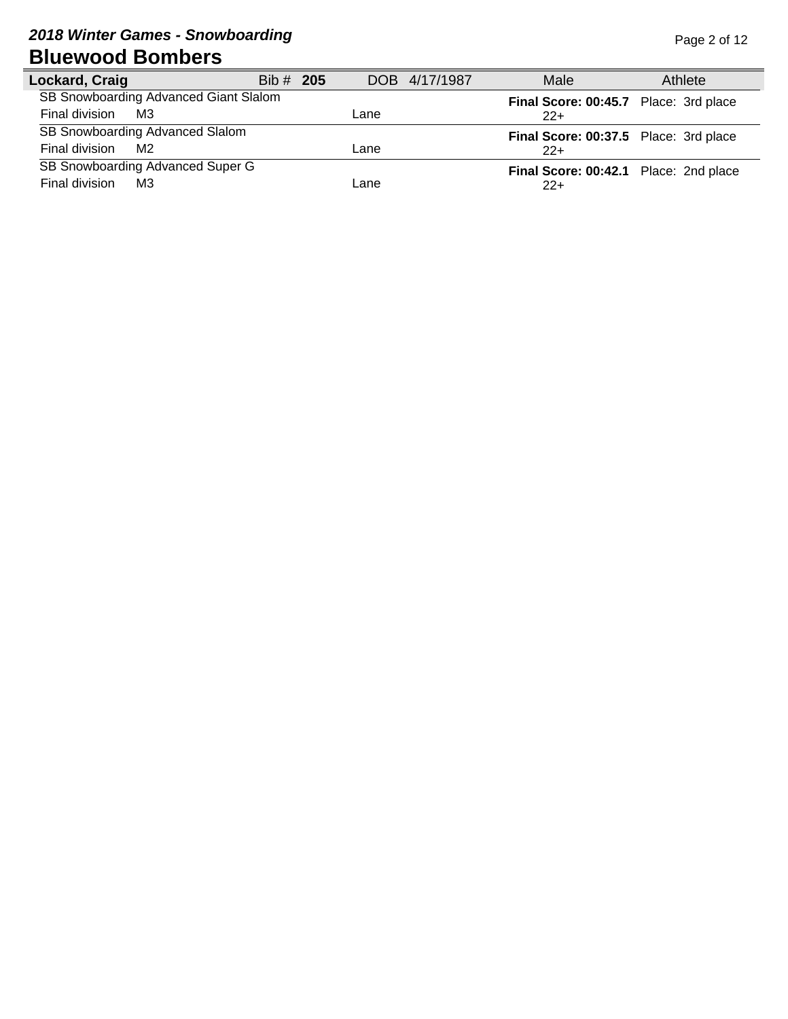# **2018 Winter Games - Snowboarding Page 2 of 12 Bluewood Bombers**

| Lockard, Craig                        | Bib # 205 | DOB 4/17/1987 | Male                                  | Athlete |
|---------------------------------------|-----------|---------------|---------------------------------------|---------|
| SB Snowboarding Advanced Giant Slalom |           |               | Final Score: 00:45.7 Place: 3rd place |         |
| Final division<br>M3                  |           | Lane          | $22+$                                 |         |
| SB Snowboarding Advanced Slalom       |           |               | Final Score: 00:37.5 Place: 3rd place |         |
| Final division<br>M2                  |           | Lane          | $22+$                                 |         |
| SB Snowboarding Advanced Super G      |           |               | Final Score: 00:42.1 Place: 2nd place |         |
| Final division<br>MЗ                  |           | Lane          | $22+$                                 |         |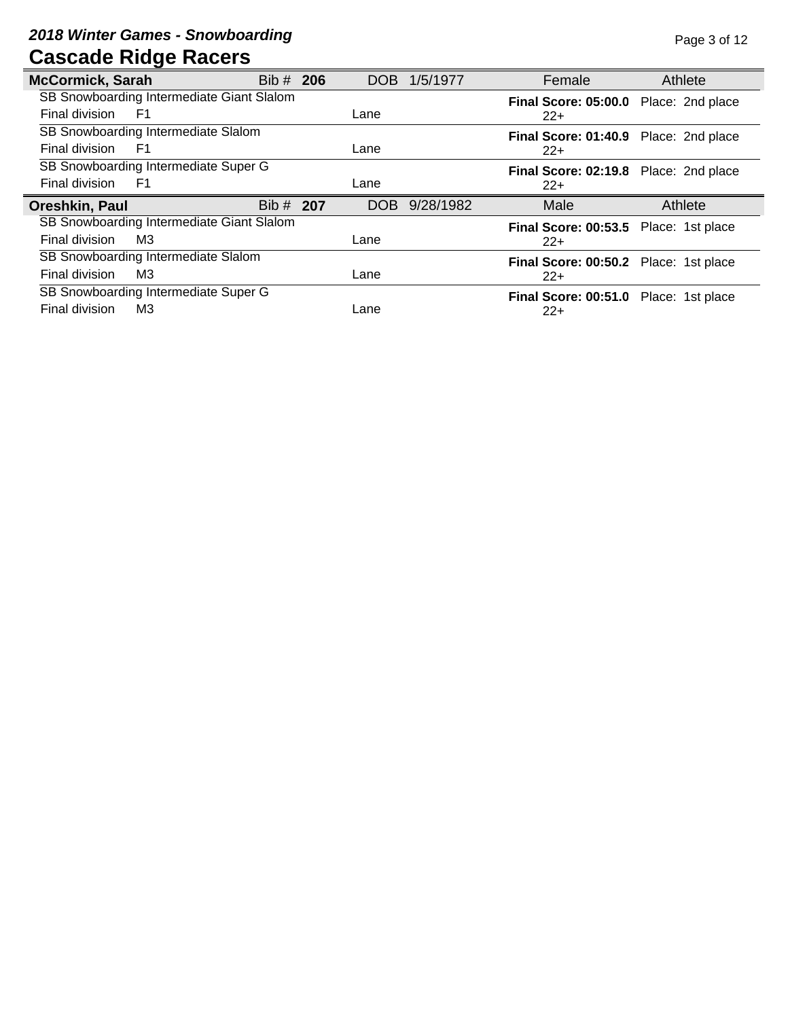# **2018 Winter Games - Snowboarding Page 3 of 12 Cascade Ridge Racers**

| <b>McCormick, Sarah</b>                   | Bib # 206 |      | DOB 1/5/1977 | Female                                         | Athlete |
|-------------------------------------------|-----------|------|--------------|------------------------------------------------|---------|
| SB Snowboarding Intermediate Giant Slalom |           |      |              | Final Score: 05:00.0 Place: 2nd place          |         |
| Final division<br>F1                      |           | Lane |              | $22+$                                          |         |
| SB Snowboarding Intermediate Slalom       |           |      |              | Final Score: 01:40.9 Place: 2nd place          |         |
| Final division<br>F <sub>1</sub>          |           | Lane |              | $22+$                                          |         |
| SB Snowboarding Intermediate Super G      |           |      |              | Final Score: 02:19.8 Place: 2nd place          |         |
| Final division<br>F <sub>1</sub>          |           | Lane |              | $22+$                                          |         |
| Oreshkin, Paul                            | Bib # 207 | DOB. | 9/28/1982    | Male                                           | Athlete |
| SB Snowboarding Intermediate Giant Slalom |           |      |              | Final Score: 00:53.5 Place: 1st place          |         |
| Final division<br>MЗ                      |           | Lane |              | $22+$                                          |         |
|                                           |           |      |              |                                                |         |
| SB Snowboarding Intermediate Slalom       |           |      |              |                                                |         |
| Final division<br>MЗ                      |           | Lane |              | Final Score: 00:50.2 Place: 1st place<br>$22+$ |         |
| SB Snowboarding Intermediate Super G      |           |      |              | Final Score: 00:51.0 Place: 1st place          |         |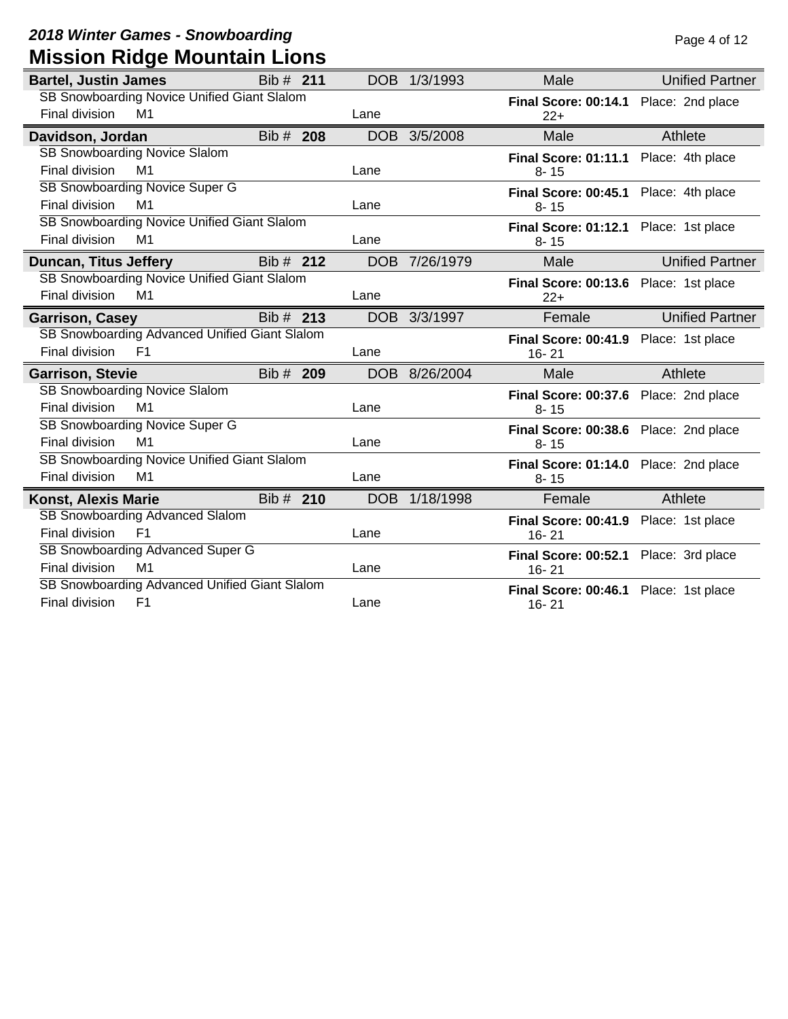## **2018 Winter Games - Snowboarding Page 4 of 12 Mission Ridge Mountain Lions**

| <b>Bartel, Justin James</b>                   | Bib # 211 | DOB        | 1/3/1993      | Male                                  | <b>Unified Partner</b> |
|-----------------------------------------------|-----------|------------|---------------|---------------------------------------|------------------------|
| SB Snowboarding Novice Unified Giant Slalom   |           |            |               | Final Score: 00:14.1 Place: 2nd place |                        |
| Final division<br>M1                          |           | Lane       |               | $22+$                                 |                        |
| Davidson, Jordan                              | Bib # 208 | <b>DOB</b> | 3/5/2008      | Male                                  | Athlete                |
| SB Snowboarding Novice Slalom                 |           |            |               | Final Score: 01:11.1 Place: 4th place |                        |
| M1<br>Final division                          |           | Lane       |               | $8 - 15$                              |                        |
| SB Snowboarding Novice Super G                |           |            |               | Final Score: 00:45.1 Place: 4th place |                        |
| Final division<br>M <sub>1</sub>              |           | Lane       |               | $8 - 15$                              |                        |
| SB Snowboarding Novice Unified Giant Slalom   |           |            |               | Final Score: 01:12.1 Place: 1st place |                        |
| Final division<br>M1                          |           | Lane       |               | $8 - 15$                              |                        |
| <b>Duncan, Titus Jeffery</b>                  | Bib # 212 |            | DOB 7/26/1979 | Male                                  | <b>Unified Partner</b> |
| SB Snowboarding Novice Unified Giant Slalom   |           |            |               | Final Score: 00:13.6 Place: 1st place |                        |
| Final division<br>M1                          |           | Lane       |               | $22+$                                 |                        |
| <b>Garrison, Casey</b>                        | Bib # 213 |            | DOB 3/3/1997  | Female                                | <b>Unified Partner</b> |
| SB Snowboarding Advanced Unified Giant Slalom |           |            |               | Final Score: 00:41.9 Place: 1st place |                        |
| Final division<br>F <sub>1</sub>              |           | Lane       |               | $16 - 21$                             |                        |
| <b>Garrison, Stevie</b>                       | Bib # 209 | DOB        | 8/26/2004     | Male                                  | Athlete                |
| SB Snowboarding Novice Slalom                 |           |            |               | Final Score: 00:37.6 Place: 2nd place |                        |
| Final division<br>M <sub>1</sub>              |           | Lane       |               | $8 - 15$                              |                        |
| <b>SB Snowboarding Novice Super G</b>         |           |            |               | Final Score: 00:38.6 Place: 2nd place |                        |
| Final division<br>M <sub>1</sub>              |           | Lane       |               | $8 - 15$                              |                        |
| SB Snowboarding Novice Unified Giant Slalom   |           |            |               | Final Score: 01:14.0 Place: 2nd place |                        |
| Final division<br>M <sub>1</sub>              |           | Lane       |               | $8 - 15$                              |                        |
| <b>Konst, Alexis Marie</b>                    | Bib # 210 | <b>DOB</b> | 1/18/1998     | Female                                | Athlete                |
| SB Snowboarding Advanced Slalom               |           |            |               | Final Score: 00:41.9 Place: 1st place |                        |
| F <sub>1</sub><br>Final division              |           | Lane       |               | $16 - 21$                             |                        |
| SB Snowboarding Advanced Super G              |           |            |               | Final Score: 00:52.1 Place: 3rd place |                        |
| Final division<br>M <sub>1</sub>              |           | Lane       |               | $16 - 21$                             |                        |
| SB Snowboarding Advanced Unified Giant Slalom |           |            |               | Final Score: 00:46.1 Place: 1st place |                        |
| Final division<br>F <sub>1</sub>              |           | Lane       |               | $16 - 21$                             |                        |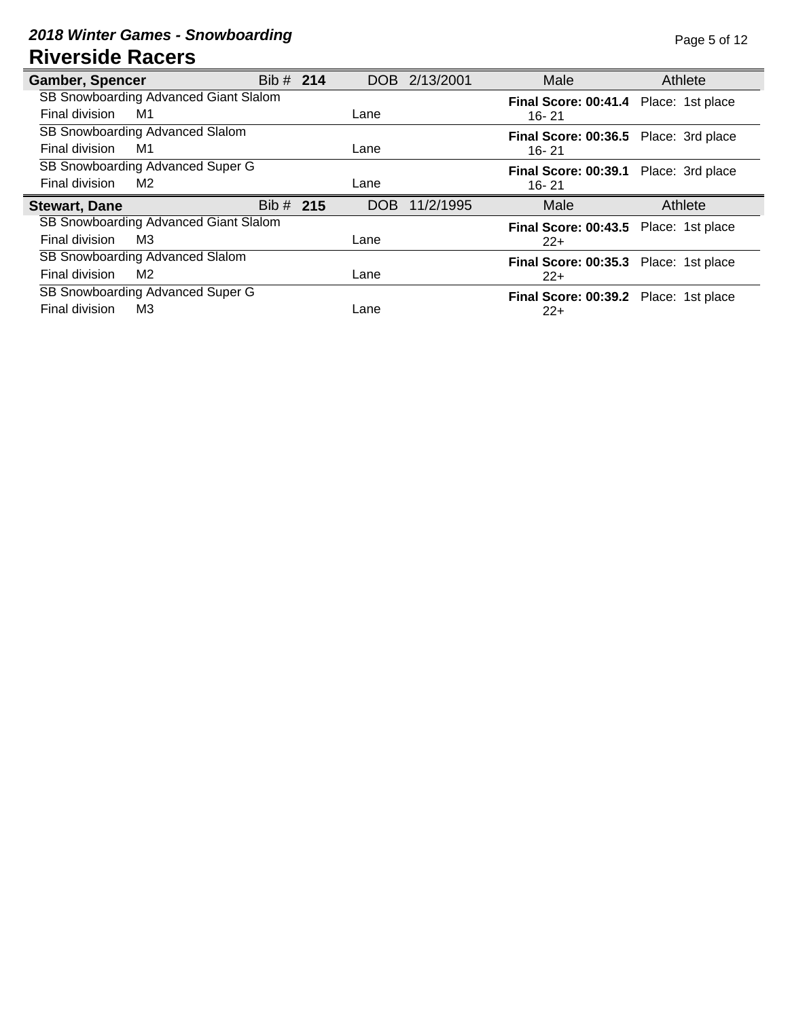#### **2018 Winter Games - Snowboarding Page 5 of 12 Riverside Racers**

| <b>Gamber, Spencer</b> |                                       | Bib # 214   | DOB 2/13/2001    | Male                                           | Athlete |
|------------------------|---------------------------------------|-------------|------------------|------------------------------------------------|---------|
|                        | SB Snowboarding Advanced Giant Slalom |             |                  | Final Score: 00:41.4 Place: 1st place          |         |
| Final division         | M1                                    |             | Lane             | $16 - 21$                                      |         |
|                        | SB Snowboarding Advanced Slalom       |             |                  | Final Score: 00:36.5 Place: 3rd place          |         |
| Final division         | M1                                    |             | Lane             | 16-21                                          |         |
|                        | SB Snowboarding Advanced Super G      |             |                  | Final Score: 00:39.1 Place: 3rd place          |         |
| Final division         | M <sub>2</sub>                        |             | Lane             | 16-21                                          |         |
|                        |                                       |             |                  |                                                |         |
| <b>Stewart, Dane</b>   |                                       | Bib $#$ 215 | 11/2/1995<br>DOB | Male                                           | Athlete |
|                        | SB Snowboarding Advanced Giant Slalom |             |                  |                                                |         |
| Final division         | M3                                    |             | Lane             | Final Score: 00:43.5 Place: 1st place<br>$22+$ |         |
|                        | SB Snowboarding Advanced Slalom       |             |                  |                                                |         |
| Final division         | M2                                    |             | Lane             | Final Score: 00:35.3 Place: 1st place<br>$22+$ |         |
|                        | SB Snowboarding Advanced Super G      |             |                  | Final Score: 00:39.2 Place: 1st place          |         |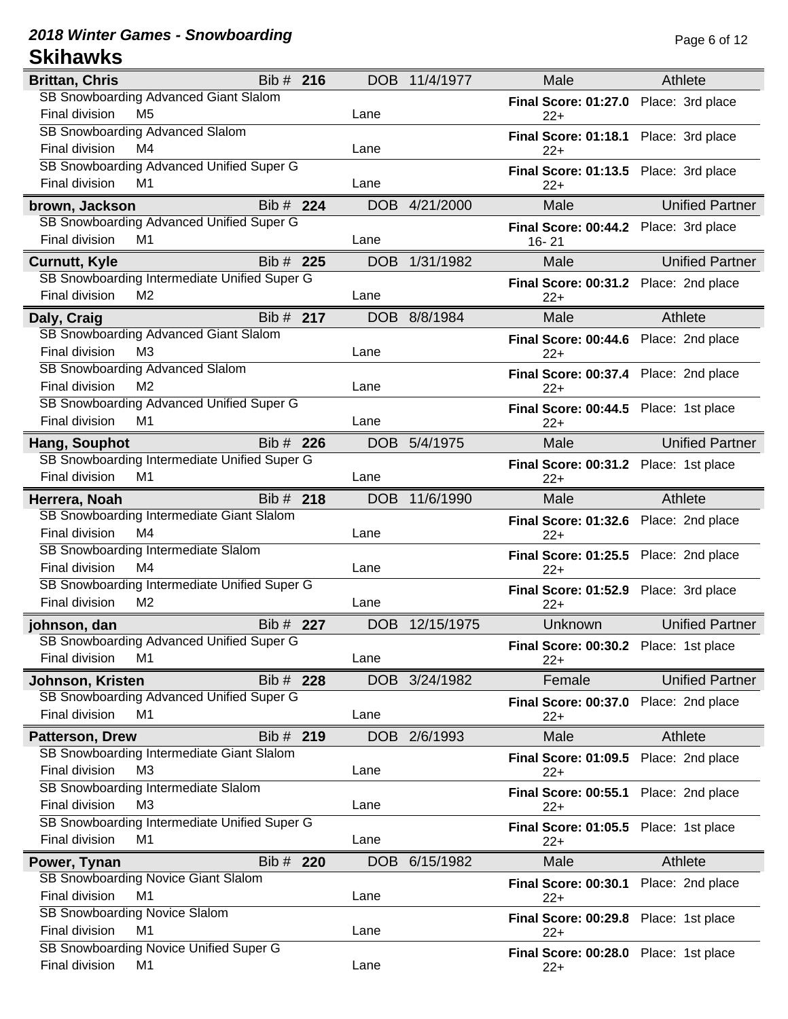#### **2018 Winter Games - Snowboarding Page 6 of 12 Skihawks**

| <b>Brittan, Chris</b>                                                   | Bib # 216 | DOB        | 11/4/1977     | Male                                           | Athlete                |
|-------------------------------------------------------------------------|-----------|------------|---------------|------------------------------------------------|------------------------|
| SB Snowboarding Advanced Giant Slalom                                   |           |            |               | <b>Final Score: 01:27.0</b>                    | Place: 3rd place       |
| Final division<br>M <sub>5</sub>                                        |           | Lane       |               | $22+$                                          |                        |
| SB Snowboarding Advanced Slalom                                         |           |            |               | Final Score: 01:18.1 Place: 3rd place          |                        |
| M4<br>Final division                                                    |           | Lane       |               | $22+$                                          |                        |
| SB Snowboarding Advanced Unified Super G                                |           |            |               | Final Score: 01:13.5 Place: 3rd place          |                        |
| Final division<br>M1                                                    |           | Lane       |               | $22+$                                          |                        |
| brown, Jackson                                                          | Bib # 224 |            | DOB 4/21/2000 | Male                                           | <b>Unified Partner</b> |
| SB Snowboarding Advanced Unified Super G                                |           |            |               | Final Score: 00:44.2 Place: 3rd place          |                        |
| Final division<br>M1                                                    |           | Lane       |               | $16 - 21$                                      |                        |
| <b>Curnutt, Kyle</b>                                                    | Bib # 225 | <b>DOB</b> | 1/31/1982     | Male                                           | <b>Unified Partner</b> |
| SB Snowboarding Intermediate Unified Super G                            |           |            |               | Final Score: 00:31.2 Place: 2nd place          |                        |
| Final division<br>M <sub>2</sub>                                        |           | Lane       |               | $22+$                                          |                        |
| Daly, Craig                                                             | Bib # 217 | DOB        | 8/8/1984      | Male                                           | Athlete                |
| SB Snowboarding Advanced Giant Slalom                                   |           |            |               | Final Score: 00:44.6 Place: 2nd place          |                        |
| Final division<br>M <sub>3</sub>                                        |           | Lane       |               | $22+$                                          |                        |
| SB Snowboarding Advanced Slalom                                         |           |            |               | Final Score: 00:37.4 Place: 2nd place          |                        |
| Final division<br>M <sub>2</sub>                                        |           | Lane       |               | $22+$                                          |                        |
| SB Snowboarding Advanced Unified Super G                                |           |            |               | Final Score: 00:44.5 Place: 1st place          |                        |
| Final division<br>M1                                                    |           | Lane       |               | $22+$                                          |                        |
| Hang, Souphot                                                           | Bib # 226 | <b>DOB</b> | 5/4/1975      | Male                                           | <b>Unified Partner</b> |
| SB Snowboarding Intermediate Unified Super G                            |           |            |               | Final Score: 00:31.2 Place: 1st place          |                        |
| Final division<br>M1                                                    |           | Lane       |               | $22+$                                          |                        |
| Herrera, Noah                                                           | Bib # 218 | <b>DOB</b> | 11/6/1990     | Male                                           | Athlete                |
| SB Snowboarding Intermediate Giant Slalom                               |           |            |               | Final Score: 01:32.6 Place: 2nd place          |                        |
| Final division<br>M4                                                    |           | Lane       |               | $22+$                                          |                        |
| SB Snowboarding Intermediate Slalom                                     |           |            |               | Final Score: 01:25.5 Place: 2nd place          |                        |
| Final division<br>M4                                                    |           | Lane       |               | $22+$                                          |                        |
| SB Snowboarding Intermediate Unified Super G<br>Final division          |           |            |               | Final Score: 01:52.9 Place: 3rd place          |                        |
| M <sub>2</sub>                                                          |           | Lane       |               | $22+$                                          |                        |
| johnson, dan                                                            | Bib # 227 | <b>DOB</b> | 12/15/1975    | Unknown                                        | <b>Unified Partner</b> |
| SB Snowboarding Advanced Unified Super G                                |           |            |               | Final Score: 00:30.2 Place: 1st place          |                        |
| Final division<br>M1                                                    |           | Lane       |               | $22+$                                          |                        |
| Johnson, Kristen                                                        | Bib # 228 | DOB        | 3/24/1982     | Female                                         | <b>Unified Partner</b> |
| SB Snowboarding Advanced Unified Super G                                |           |            |               | <b>Final Score: 00:37.0</b>                    | Place: 2nd place       |
| Final division<br>M1                                                    |           | Lane       |               | 22+                                            |                        |
| <b>Patterson, Drew</b>                                                  | Bib # 219 |            | DOB 2/6/1993  | Male                                           | Athlete                |
| SB Snowboarding Intermediate Giant Slalom                               |           |            |               | <b>Final Score: 01:09.5</b>                    | Place: 2nd place       |
| Final division<br>M <sub>3</sub>                                        |           | Lane       |               | $22+$                                          |                        |
| SB Snowboarding Intermediate Slalom<br>Final division<br>M <sub>3</sub> |           | Lane       |               | Final Score: 00:55.1 Place: 2nd place          |                        |
| SB Snowboarding Intermediate Unified Super G                            |           |            |               | $22+$                                          |                        |
| Final division<br>M <sub>1</sub>                                        |           | Lane       |               | Final Score: 01:05.5 Place: 1st place<br>$22+$ |                        |
|                                                                         | Bib # 220 | DOB        | 6/15/1982     | Male                                           | Athlete                |
| Power, Tynan<br>SB Snowboarding Novice Giant Slalom                     |           |            |               |                                                |                        |
| Final division<br>M <sub>1</sub>                                        |           | Lane       |               | <b>Final Score: 00:30.1</b><br>$22+$           | Place: 2nd place       |
| SB Snowboarding Novice Slalom                                           |           |            |               |                                                |                        |
| Final division<br>M <sub>1</sub>                                        |           | Lane       |               | Final Score: 00:29.8 Place: 1st place<br>$22+$ |                        |
| SB Snowboarding Novice Unified Super G                                  |           |            |               | Final Score: 00:28.0 Place: 1st place          |                        |
| Final division<br>M <sub>1</sub>                                        |           | Lane       |               | $22+$                                          |                        |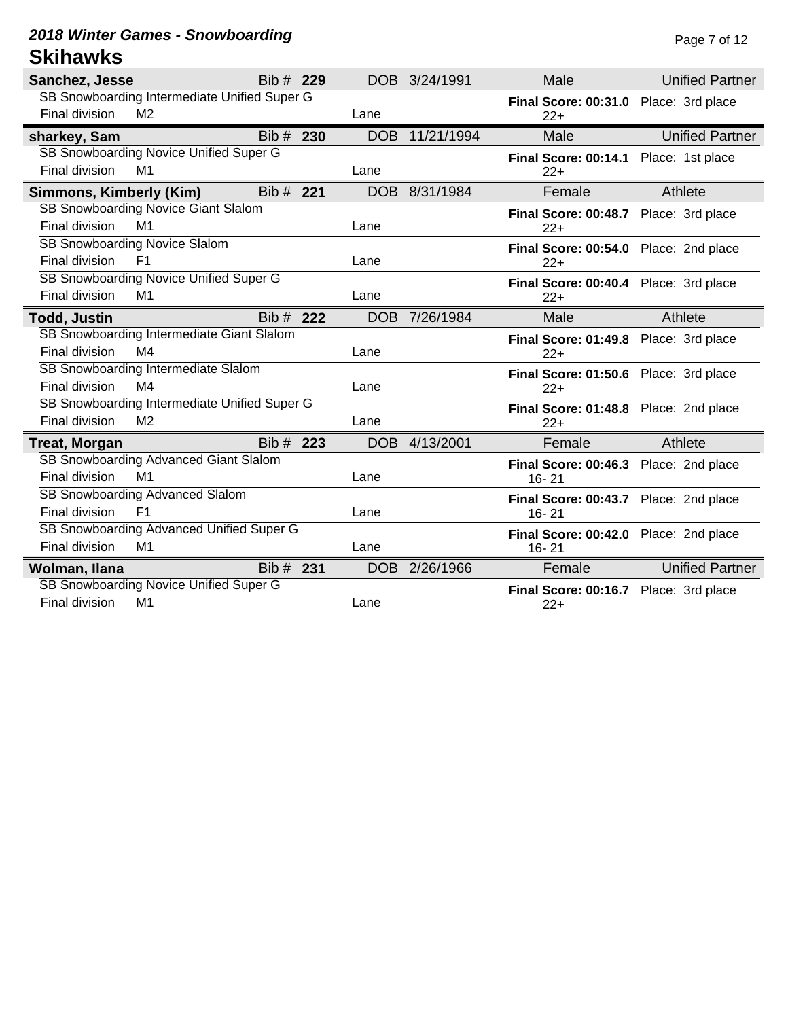### **2018 Winter Games - Snowboarding Page 7 of 12 Skihawks**

| Sanchez, Jesse          |                                              | Bib # 229 |            | DOB 3/24/1991 | Male                                  | <b>Unified Partner</b> |
|-------------------------|----------------------------------------------|-----------|------------|---------------|---------------------------------------|------------------------|
|                         | SB Snowboarding Intermediate Unified Super G |           |            |               | Final Score: 00:31.0 Place: 3rd place |                        |
| Final division          | M <sub>2</sub>                               |           | Lane       |               | $22+$                                 |                        |
| sharkey, Sam            |                                              | Bib # 230 | <b>DOB</b> | 11/21/1994    | Male                                  | <b>Unified Partner</b> |
|                         | SB Snowboarding Novice Unified Super G       |           |            |               | Final Score: 00:14.1 Place: 1st place |                        |
| Final division          | M1                                           |           | Lane       |               | $22+$                                 |                        |
| Simmons, Kimberly (Kim) |                                              | Bib # 221 |            | DOB 8/31/1984 | Female                                | Athlete                |
|                         | SB Snowboarding Novice Giant Slalom          |           |            |               | Final Score: 00:48.7 Place: 3rd place |                        |
| Final division          | M <sub>1</sub>                               |           | Lane       |               | $22+$                                 |                        |
|                         | SB Snowboarding Novice Slalom                |           |            |               | Final Score: 00:54.0 Place: 2nd place |                        |
| Final division          | F <sub>1</sub>                               |           | Lane       |               | $22+$                                 |                        |
|                         | SB Snowboarding Novice Unified Super G       |           |            |               | Final Score: 00:40.4 Place: 3rd place |                        |
| Final division          | M1                                           |           | Lane       |               | $22+$                                 |                        |
| <b>Todd, Justin</b>     |                                              | Bib # 222 |            | DOB 7/26/1984 | Male                                  | Athlete                |
|                         | SB Snowboarding Intermediate Giant Slalom    |           |            |               | Final Score: 01:49.8 Place: 3rd place |                        |
| Final division          | M4                                           |           | Lane       |               | $22+$                                 |                        |
|                         | SB Snowboarding Intermediate Slalom          |           |            |               | Final Score: 01:50.6 Place: 3rd place |                        |
| Final division          | M4                                           |           | Lane       |               | $22+$                                 |                        |
|                         | SB Snowboarding Intermediate Unified Super G |           |            |               | Final Score: 01:48.8 Place: 2nd place |                        |
| Final division          | M <sub>2</sub>                               |           | Lane       |               | $22+$                                 |                        |
| Treat, Morgan           |                                              | Bib # 223 |            | DOB 4/13/2001 | Female                                | Athlete                |
|                         | SB Snowboarding Advanced Giant Slalom        |           |            |               | Final Score: 00:46.3 Place: 2nd place |                        |
| Final division          | M1                                           |           | Lane       |               | $16 - 21$                             |                        |
|                         | SB Snowboarding Advanced Slalom              |           |            |               | Final Score: 00:43.7 Place: 2nd place |                        |
| Final division          | F <sub>1</sub>                               |           | Lane       |               | $16 - 21$                             |                        |
|                         | SB Snowboarding Advanced Unified Super G     |           |            |               | Final Score: 00:42.0 Place: 2nd place |                        |
| Final division          | M1                                           |           | Lane       |               | 16-21                                 |                        |
| Wolman, Ilana           |                                              | Bib # 231 |            | DOB 2/26/1966 | Female                                | <b>Unified Partner</b> |
|                         | SB Snowboarding Novice Unified Super G       |           |            |               | Final Score: 00:16.7 Place: 3rd place |                        |
| Final division          | M1                                           |           | Lane       |               | $22+$                                 |                        |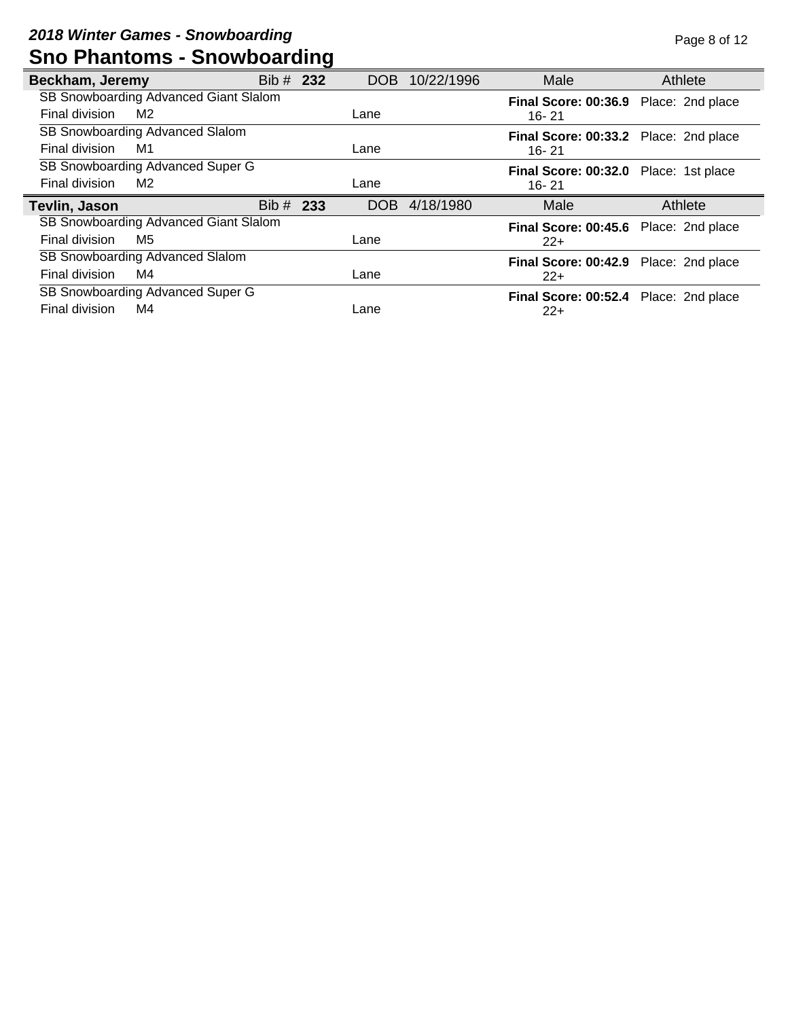| Beckham, Jeremy |                                       | Bib # 232 | DOB  | 10/22/1996 | Male                                           | Athlete |
|-----------------|---------------------------------------|-----------|------|------------|------------------------------------------------|---------|
|                 | SB Snowboarding Advanced Giant Slalom |           |      |            | Final Score: 00:36.9 Place: 2nd place          |         |
| Final division  | M2                                    |           | Lane |            | 16-21                                          |         |
|                 | SB Snowboarding Advanced Slalom       |           |      |            | Final Score: 00:33.2 Place: 2nd place          |         |
| Final division  | M1                                    |           | Lane |            | 16-21                                          |         |
|                 | SB Snowboarding Advanced Super G      |           |      |            | Final Score: 00:32.0 Place: 1st place          |         |
| Final division  | M <sub>2</sub>                        |           | Lane |            | 16-21                                          |         |
|                 |                                       |           |      |            |                                                |         |
| Tevlin, Jason   |                                       | Bib # 233 | DOB  | 4/18/1980  | Male                                           | Athlete |
|                 | SB Snowboarding Advanced Giant Slalom |           |      |            |                                                |         |
| Final division  | M5                                    |           | Lane |            | Final Score: 00:45.6 Place: 2nd place<br>$22+$ |         |
|                 | SB Snowboarding Advanced Slalom       |           |      |            |                                                |         |
| Final division  | M4                                    |           | Lane |            | Final Score: 00:42.9 Place: 2nd place<br>$22+$ |         |
|                 | SB Snowboarding Advanced Super G      |           |      |            |                                                |         |
| Final division  | M4                                    |           | Lane |            | Final Score: 00:52.4 Place: 2nd place<br>$22+$ |         |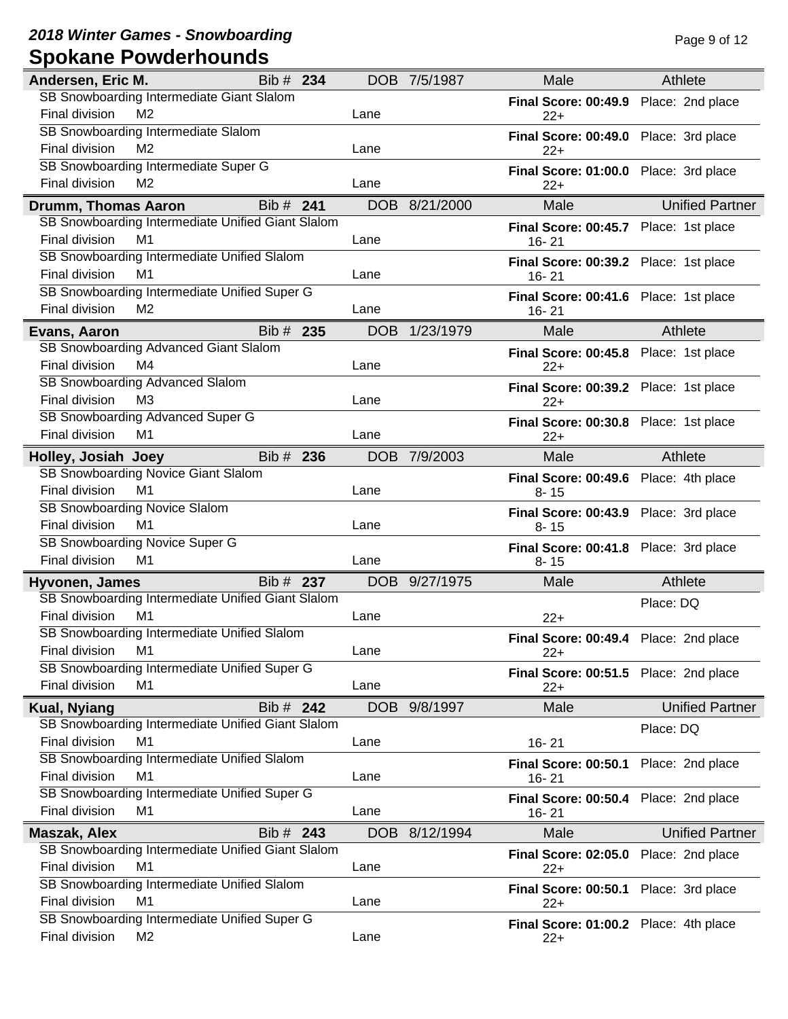**2018 Winter Games - Snowboarding Page 9 of 12 Spokane Powderhounds**

| Andersen, Eric M.   |                                                   | Bib # 234 |            | DOB 7/5/1987  | Male                                  | Athlete                |
|---------------------|---------------------------------------------------|-----------|------------|---------------|---------------------------------------|------------------------|
|                     | SB Snowboarding Intermediate Giant Slalom         |           |            |               | Final Score: 00:49.9 Place: 2nd place |                        |
| Final division      | M <sub>2</sub>                                    |           | Lane       |               | $22+$                                 |                        |
|                     | SB Snowboarding Intermediate Slalom               |           |            |               | Final Score: 00:49.0 Place: 3rd place |                        |
| Final division      | M <sub>2</sub>                                    |           | Lane       |               | $22+$                                 |                        |
|                     | SB Snowboarding Intermediate Super G              |           |            |               | Final Score: 01:00.0 Place: 3rd place |                        |
| Final division      | M <sub>2</sub>                                    |           | Lane       |               | $22+$                                 |                        |
| Drumm, Thomas Aaron |                                                   | Bib # 241 |            | DOB 8/21/2000 | Male                                  | <b>Unified Partner</b> |
|                     | SB Snowboarding Intermediate Unified Giant Slalom |           |            |               | Final Score: 00:45.7 Place: 1st place |                        |
| Final division      | M1                                                |           | Lane       |               | $16 - 21$                             |                        |
|                     | SB Snowboarding Intermediate Unified Slalom       |           |            |               | Final Score: 00:39.2 Place: 1st place |                        |
| Final division      | M <sub>1</sub>                                    |           | Lane       |               | 16-21                                 |                        |
|                     | SB Snowboarding Intermediate Unified Super G      |           |            |               | Final Score: 00:41.6 Place: 1st place |                        |
| Final division      | M <sub>2</sub>                                    |           | Lane       |               | $16 - 21$                             |                        |
| Evans, Aaron        |                                                   | Bib # 235 | <b>DOB</b> | 1/23/1979     | Male                                  | Athlete                |
|                     | SB Snowboarding Advanced Giant Slalom             |           |            |               | Final Score: 00:45.8 Place: 1st place |                        |
| Final division      | M4                                                |           | Lane       |               | $22+$                                 |                        |
|                     | <b>SB Snowboarding Advanced Slalom</b>            |           |            |               | Final Score: 00:39.2 Place: 1st place |                        |
| Final division      | M <sub>3</sub>                                    |           | Lane       |               | $22+$                                 |                        |
|                     | SB Snowboarding Advanced Super G                  |           |            |               | Final Score: 00:30.8 Place: 1st place |                        |
| Final division      | M1                                                |           | Lane       |               | $22+$                                 |                        |
| Holley, Josiah Joey |                                                   | Bib # 236 | <b>DOB</b> | 7/9/2003      | Male                                  | Athlete                |
|                     | SB Snowboarding Novice Giant Slalom               |           |            |               | Final Score: 00:49.6 Place: 4th place |                        |
| Final division      | M1                                                |           | Lane       |               | $8 - 15$                              |                        |
|                     | SB Snowboarding Novice Slalom                     |           |            |               | Final Score: 00:43.9 Place: 3rd place |                        |
| Final division      | M <sub>1</sub>                                    |           | Lane       |               | $8 - 15$                              |                        |
|                     | SB Snowboarding Novice Super G                    |           |            |               | Final Score: 00:41.8 Place: 3rd place |                        |
| Final division      | M <sub>1</sub>                                    |           | Lane       |               | $8 - 15$                              |                        |
| Hyvonen, James      |                                                   | Bib # 237 |            | DOB 9/27/1975 | Male                                  | Athlete                |
|                     | SB Snowboarding Intermediate Unified Giant Slalom |           |            |               |                                       | Place: DQ              |
| Final division      | M1                                                |           | Lane       |               | $22+$                                 |                        |
|                     | SB Snowboarding Intermediate Unified Slalom       |           |            |               | Final Score: 00:49.4 Place: 2nd place |                        |
| Final division      | M <sub>1</sub>                                    |           | Lane       |               | $22+$                                 |                        |
|                     | SB Snowboarding Intermediate Unified Super G      |           |            |               | Final Score: 00:51.5 Place: 2nd place |                        |
| Final division      | M1                                                |           | Lane       |               | $22+$                                 |                        |
| <b>Kual, Nyiang</b> |                                                   | Bib # 242 |            | DOB 9/8/1997  | Male                                  | <b>Unified Partner</b> |
|                     | SB Snowboarding Intermediate Unified Giant Slalom |           |            |               |                                       | Place: DQ              |
| Final division      | M1                                                |           | Lane       |               | $16 - 21$                             |                        |
|                     | SB Snowboarding Intermediate Unified Slalom       |           |            |               | <b>Final Score: 00:50.1</b>           | Place: 2nd place       |
| Final division      | M <sub>1</sub>                                    |           | Lane       |               | 16-21                                 |                        |
|                     | SB Snowboarding Intermediate Unified Super G      |           |            |               | Final Score: 00:50.4 Place: 2nd place |                        |
| Final division      | M <sub>1</sub>                                    |           | Lane       |               | 16-21                                 |                        |
| <b>Maszak, Alex</b> |                                                   | Bib # 243 | <b>DOB</b> | 8/12/1994     | Male                                  | <b>Unified Partner</b> |
|                     | SB Snowboarding Intermediate Unified Giant Slalom |           |            |               | <b>Final Score: 02:05.0</b>           | Place: 2nd place       |
| Final division      | M <sub>1</sub>                                    |           | Lane       |               | $22+$                                 |                        |
|                     | SB Snowboarding Intermediate Unified Slalom       |           |            |               | <b>Final Score: 00:50.1</b>           | Place: 3rd place       |
| Final division      | M1                                                |           | Lane       |               | $22+$                                 |                        |
|                     | SB Snowboarding Intermediate Unified Super G      |           |            |               | Final Score: 01:00.2 Place: 4th place |                        |
| Final division      | M <sub>2</sub>                                    |           | Lane       |               | $22+$                                 |                        |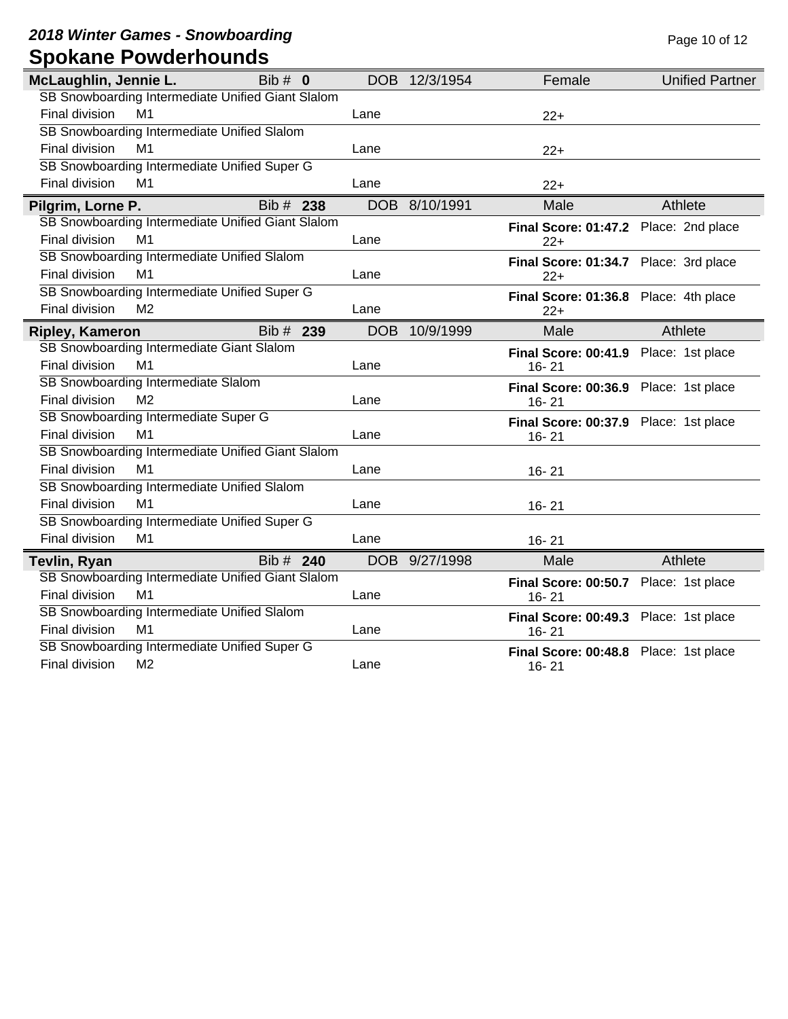**2018 Winter Games - Snowboarding Page 10 of 12 Page 10 of 12 Spokane Powderhounds**

| McLaughlin, Jennie L.  |                | Bib $# 0$                                         |            | DOB 12/3/1954 | Female                                | <b>Unified Partner</b> |
|------------------------|----------------|---------------------------------------------------|------------|---------------|---------------------------------------|------------------------|
|                        |                | SB Snowboarding Intermediate Unified Giant Slalom |            |               |                                       |                        |
| Final division         | M <sub>1</sub> |                                                   | Lane       |               | $22+$                                 |                        |
|                        |                | SB Snowboarding Intermediate Unified Slalom       |            |               |                                       |                        |
| Final division         | M <sub>1</sub> |                                                   | Lane       |               | $22+$                                 |                        |
|                        |                | SB Snowboarding Intermediate Unified Super G      |            |               |                                       |                        |
| Final division         | M1             |                                                   | Lane       |               | $22+$                                 |                        |
| Pilgrim, Lorne P.      |                | Bib # 238                                         | <b>DOB</b> | 8/10/1991     | Male                                  | Athlete                |
|                        |                | SB Snowboarding Intermediate Unified Giant Slalom |            |               | Final Score: 01:47.2 Place: 2nd place |                        |
| Final division         | M <sub>1</sub> |                                                   | Lane       |               | $22+$                                 |                        |
|                        |                | SB Snowboarding Intermediate Unified Slalom       |            |               | Final Score: 01:34.7 Place: 3rd place |                        |
| Final division         | M <sub>1</sub> |                                                   | Lane       |               | $22+$                                 |                        |
|                        |                | SB Snowboarding Intermediate Unified Super G      |            |               | Final Score: 01:36.8 Place: 4th place |                        |
| Final division         | M <sub>2</sub> |                                                   | Lane       |               | $22+$                                 |                        |
| <b>Ripley, Kameron</b> |                | Bib # 239                                         | <b>DOB</b> | 10/9/1999     | Male                                  | Athlete                |
|                        |                | SB Snowboarding Intermediate Giant Slalom         |            |               | Final Score: 00:41.9 Place: 1st place |                        |
| Final division         | M1             |                                                   | Lane       |               | $16 - 21$                             |                        |
|                        |                | SB Snowboarding Intermediate Slalom               |            |               | Final Score: 00:36.9 Place: 1st place |                        |
| Final division         | M <sub>2</sub> |                                                   | Lane       |               | 16-21                                 |                        |
|                        |                | SB Snowboarding Intermediate Super G              |            |               | Final Score: 00:37.9 Place: 1st place |                        |
| Final division         | M <sub>1</sub> |                                                   | Lane       |               | $16 - 21$                             |                        |
|                        |                | SB Snowboarding Intermediate Unified Giant Slalom |            |               |                                       |                        |
| Final division         | M1             |                                                   | Lane       |               | $16 - 21$                             |                        |
|                        |                | SB Snowboarding Intermediate Unified Slalom       |            |               |                                       |                        |
| Final division         | M1             |                                                   | Lane       |               | $16 - 21$                             |                        |
|                        |                | SB Snowboarding Intermediate Unified Super G      |            |               |                                       |                        |
| <b>Final division</b>  | M <sub>1</sub> |                                                   | Lane       |               | $16 - 21$                             |                        |
| Tevlin, Ryan           |                | Bib # 240                                         | DOB        | 9/27/1998     | Male                                  | Athlete                |
|                        |                | SB Snowboarding Intermediate Unified Giant Slalom |            |               | Final Score: 00:50.7 Place: 1st place |                        |
| Final division         | M <sub>1</sub> |                                                   | Lane       |               | $16 - 21$                             |                        |
|                        |                | SB Snowboarding Intermediate Unified Slalom       |            |               | Final Score: 00:49.3 Place: 1st place |                        |
| Final division         | M <sub>1</sub> |                                                   | Lane       |               | $16 - 21$                             |                        |
|                        |                | SB Snowboarding Intermediate Unified Super G      |            |               | Final Score: 00:48.8 Place: 1st place |                        |
| Final division         | M <sub>2</sub> |                                                   | Lane       |               | $16 - 21$                             |                        |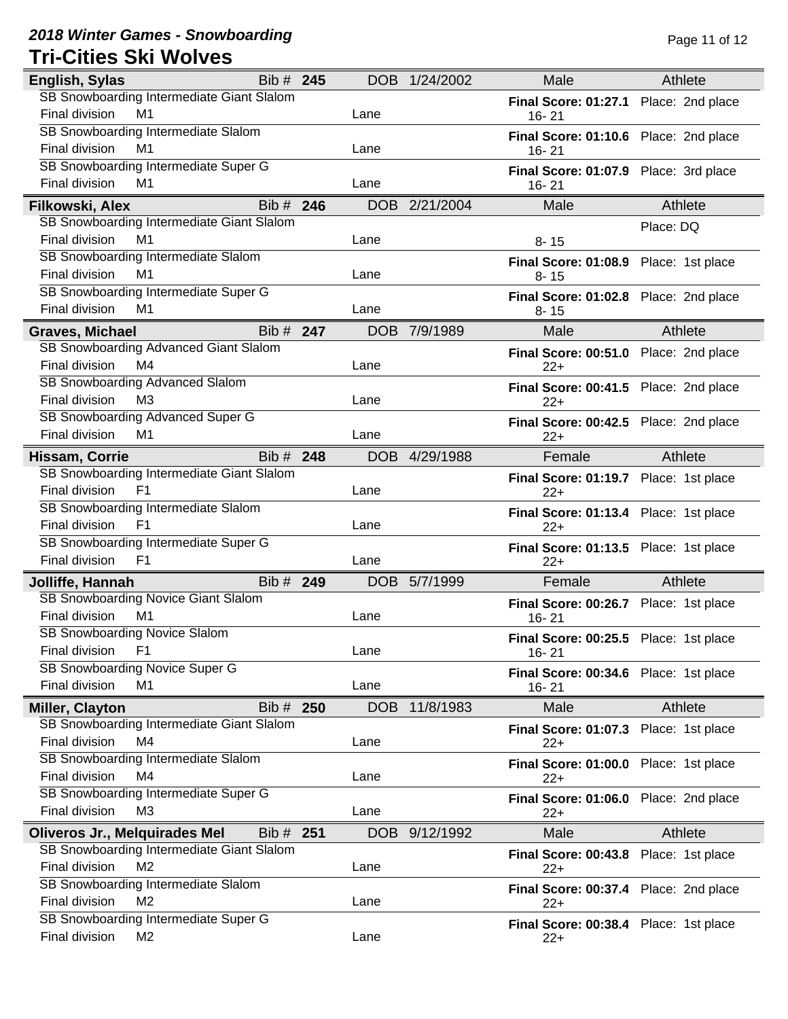### **2018 Winter Games - Snowboarding Page 11 of 12 Page 11 of 12 Tri-Cities Ski Wolves**

| English, Sylas                            | Bib # 245 |            | DOB 1/24/2002 | Male                                  | Athlete          |
|-------------------------------------------|-----------|------------|---------------|---------------------------------------|------------------|
| SB Snowboarding Intermediate Giant Slalom |           |            |               | Final Score: 01:27.1 Place: 2nd place |                  |
| Final division<br>M1                      |           | Lane       |               | $16 - 21$                             |                  |
| SB Snowboarding Intermediate Slalom       |           |            |               | Final Score: 01:10.6 Place: 2nd place |                  |
| Final division<br>M1                      |           | Lane       |               | $16 - 21$                             |                  |
| SB Snowboarding Intermediate Super G      |           |            |               | Final Score: 01:07.9 Place: 3rd place |                  |
| Final division<br>M1                      |           | Lane       |               | $16 - 21$                             |                  |
| Filkowski, Alex                           | Bib # 246 |            | DOB 2/21/2004 | Male                                  | Athlete          |
| SB Snowboarding Intermediate Giant Slalom |           |            |               |                                       | Place: DQ        |
| M1<br>Final division                      |           | Lane       |               | $8 - 15$                              |                  |
| SB Snowboarding Intermediate Slalom       |           |            |               | Final Score: 01:08.9 Place: 1st place |                  |
| M1<br>Final division                      |           | Lane       |               | $8 - 15$                              |                  |
| SB Snowboarding Intermediate Super G      |           |            |               | Final Score: 01:02.8 Place: 2nd place |                  |
| Final division<br>M1                      |           | Lane       |               | $8 - 15$                              |                  |
| <b>Graves, Michael</b>                    | Bib # 247 | <b>DOB</b> | 7/9/1989      | Male                                  | Athlete          |
| SB Snowboarding Advanced Giant Slalom     |           |            |               | Final Score: 00:51.0 Place: 2nd place |                  |
| M4<br>Final division                      |           | Lane       |               | $22+$                                 |                  |
| SB Snowboarding Advanced Slalom           |           |            |               | Final Score: 00:41.5 Place: 2nd place |                  |
| Final division<br>M <sub>3</sub>          |           | Lane       |               | $22+$                                 |                  |
| SB Snowboarding Advanced Super G          |           |            |               | Final Score: 00:42.5 Place: 2nd place |                  |
| Final division<br>M1                      |           | Lane       |               | 22+                                   |                  |
| Hissam, Corrie                            | Bib # 248 |            | DOB 4/29/1988 | Female                                | Athlete          |
| SB Snowboarding Intermediate Giant Slalom |           |            |               | Final Score: 01:19.7 Place: 1st place |                  |
| Final division<br>F <sub>1</sub>          |           | Lane       |               | $22+$                                 |                  |
| SB Snowboarding Intermediate Slalom       |           |            |               | Final Score: 01:13.4 Place: 1st place |                  |
| Final division<br>F <sub>1</sub>          |           | Lane       |               | $22+$                                 |                  |
| SB Snowboarding Intermediate Super G      |           |            |               | Final Score: 01:13.5 Place: 1st place |                  |
| Final division<br>F <sub>1</sub>          |           | Lane       |               | $22+$                                 |                  |
| Jolliffe, Hannah                          | Bib # 249 |            | DOB 5/7/1999  | Female                                | Athlete          |
| SB Snowboarding Novice Giant Slalom       |           |            |               | Final Score: 00:26.7 Place: 1st place |                  |
| Final division<br>M1                      |           | Lane       |               | $16 - 21$                             |                  |
| SB Snowboarding Novice Slalom             |           |            |               | Final Score: 00:25.5 Place: 1st place |                  |
| Final division<br><b>F1</b>               |           | Lane       |               | 16-21                                 |                  |
| SB Snowboarding Novice Super G            |           |            |               | Final Score: 00:34.6 Place: 1st place |                  |
| <b>Final division</b><br>M1               |           | Lane       |               | $16 - 21$                             |                  |
| <b>Miller, Clayton</b>                    | Bib # 250 | <b>DOB</b> | 11/8/1983     | Male                                  | Athlete          |
| SB Snowboarding Intermediate Giant Slalom |           |            |               | <b>Final Score: 01:07.3</b>           | Place: 1st place |
| Final division<br>M4                      |           | Lane       |               | $22+$                                 |                  |
| SB Snowboarding Intermediate Slalom       |           |            |               | Final Score: 01:00.0 Place: 1st place |                  |
| Final division<br>M4                      |           | Lane       |               | $22+$                                 |                  |
| SB Snowboarding Intermediate Super G      |           |            |               | Final Score: 01:06.0 Place: 2nd place |                  |
| Final division<br>M <sub>3</sub>          |           | Lane       |               | $22+$                                 |                  |
| <b>Oliveros Jr., Melquirades Mel</b>      | Bib # 251 | DOB        | 9/12/1992     | Male                                  | Athlete          |
| SB Snowboarding Intermediate Giant Slalom |           |            |               | Final Score: 00:43.8 Place: 1st place |                  |
| Final division<br>M <sub>2</sub>          |           | Lane       |               | $22+$                                 |                  |
| SB Snowboarding Intermediate Slalom       |           |            |               | Final Score: 00:37.4 Place: 2nd place |                  |
| Final division<br>M <sub>2</sub>          |           | Lane       |               | $22+$                                 |                  |
| SB Snowboarding Intermediate Super G      |           |            |               | Final Score: 00:38.4 Place: 1st place |                  |
| Final division<br>M <sub>2</sub>          |           | Lane       |               | $22+$                                 |                  |